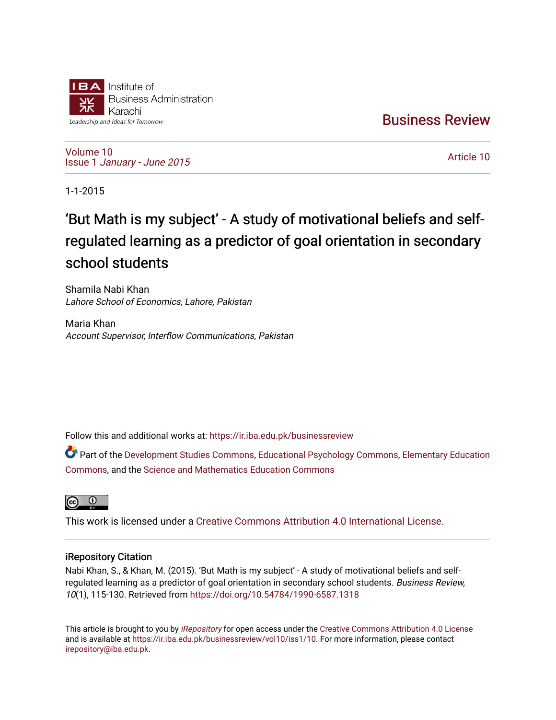

[Business Review](https://ir.iba.edu.pk/businessreview) 

[Volume 10](https://ir.iba.edu.pk/businessreview/vol10) Issue 1 [January - June 2015](https://ir.iba.edu.pk/businessreview/vol10/iss1) 

[Article 10](https://ir.iba.edu.pk/businessreview/vol10/iss1/10) 

1-1-2015

# 'But Math is my subject' - A study of motivational beliefs and selfregulated learning as a predictor of goal orientation in secondary school students

Shamila Nabi Khan Lahore School of Economics, Lahore, Pakistan

Maria Khan Account Supervisor, Interflow Communications, Pakistan

Follow this and additional works at: [https://ir.iba.edu.pk/businessreview](https://ir.iba.edu.pk/businessreview?utm_source=ir.iba.edu.pk%2Fbusinessreview%2Fvol10%2Fiss1%2F10&utm_medium=PDF&utm_campaign=PDFCoverPages) 

Part of the [Development Studies Commons,](http://network.bepress.com/hgg/discipline/1422?utm_source=ir.iba.edu.pk%2Fbusinessreview%2Fvol10%2Fiss1%2F10&utm_medium=PDF&utm_campaign=PDFCoverPages) [Educational Psychology Commons,](http://network.bepress.com/hgg/discipline/798?utm_source=ir.iba.edu.pk%2Fbusinessreview%2Fvol10%2Fiss1%2F10&utm_medium=PDF&utm_campaign=PDFCoverPages) [Elementary Education](http://network.bepress.com/hgg/discipline/1378?utm_source=ir.iba.edu.pk%2Fbusinessreview%2Fvol10%2Fiss1%2F10&utm_medium=PDF&utm_campaign=PDFCoverPages)  [Commons](http://network.bepress.com/hgg/discipline/1378?utm_source=ir.iba.edu.pk%2Fbusinessreview%2Fvol10%2Fiss1%2F10&utm_medium=PDF&utm_campaign=PDFCoverPages), and the [Science and Mathematics Education Commons](http://network.bepress.com/hgg/discipline/800?utm_source=ir.iba.edu.pk%2Fbusinessreview%2Fvol10%2Fiss1%2F10&utm_medium=PDF&utm_campaign=PDFCoverPages) 



This work is licensed under a [Creative Commons Attribution 4.0 International License](https://creativecommons.org/licenses/by/4.0/).

# iRepository Citation

Nabi Khan, S., & Khan, M. (2015). 'But Math is my subject' - A study of motivational beliefs and selfregulated learning as a predictor of goal orientation in secondary school students. Business Review, 10(1), 115-130. Retrieved from<https://doi.org/10.54784/1990-6587.1318>

This article is brought to you by [iRepository](https://ir.iba.edu.pk/) for open access under the Creative Commons Attribution 4.0 License and is available at <https://ir.iba.edu.pk/businessreview/vol10/iss1/10>. For more information, please contact [irepository@iba.edu.pk.](mailto:irepository@iba.edu.pk)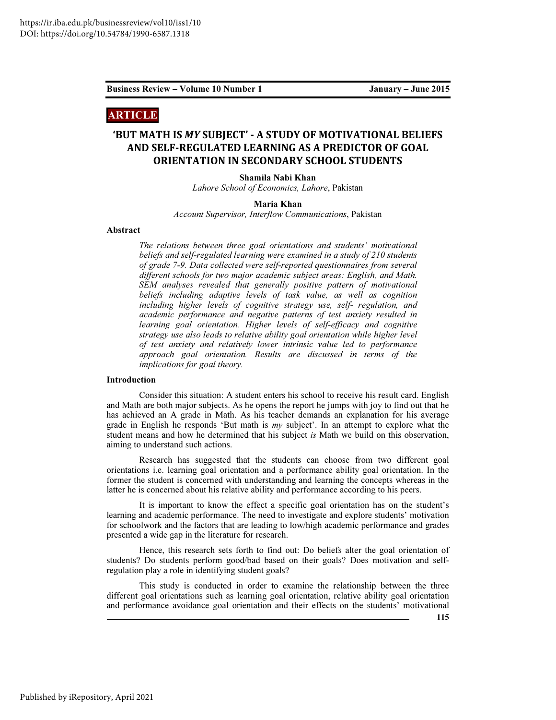# ARTICLE

# 'BUT MATH IS MY SUBJECT' - A STUDY OF MOTIVATIONAL BELIEFS AND SELF-REGULATED LEARNING AS A PREDICTOR OF GOAL ORIENTATION IN SECONDARY SCHOOL STUDENTS

Shamila Nabi Khan

*Lahore School of Economics, Lahore*, Pakistan

# Maria Khan

*Account Supervisor, Interflow Communications*, Pakistan

# Abstract

*The relations between three goal orientations and students' motivational beliefs and self-regulated learning were examined in a study of 210 students of grade 7-9. Data collected were self-reported questionnaires from several different schools for two major academic subject areas: English, and Math. SEM analyses revealed that generally positive pattern of motivational beliefs including adaptive levels of task value, as well as cognition including higher levels of cognitive strategy use, self- regulation, and academic performance and negative patterns of test anxiety resulted in learning goal orientation. Higher levels of self-efficacy and cognitive strategy use also leads to relative ability goal orientation while higher level of test anxiety and relatively lower intrinsic value led to performance approach goal orientation. Results are discussed in terms of the implications for goal theory.* 

# Introduction

Consider this situation: A student enters his school to receive his result card. English and Math are both major subjects. As he opens the report he jumps with joy to find out that he has achieved an A grade in Math. As his teacher demands an explanation for his average grade in English he responds 'But math is *my* subject'. In an attempt to explore what the student means and how he determined that his subject *is* Math we build on this observation, aiming to understand such actions.

Research has suggested that the students can choose from two different goal orientations i.e. learning goal orientation and a performance ability goal orientation. In the former the student is concerned with understanding and learning the concepts whereas in the latter he is concerned about his relative ability and performance according to his peers.

It is important to know the effect a specific goal orientation has on the student's learning and academic performance. The need to investigate and explore students' motivation for schoolwork and the factors that are leading to low/high academic performance and grades presented a wide gap in the literature for research.

Hence, this research sets forth to find out: Do beliefs alter the goal orientation of students? Do students perform good/bad based on their goals? Does motivation and selfregulation play a role in identifying student goals?

This study is conducted in order to examine the relationship between the three different goal orientations such as learning goal orientation, relative ability goal orientation and performance avoidance goal orientation and their effects on the students' motivational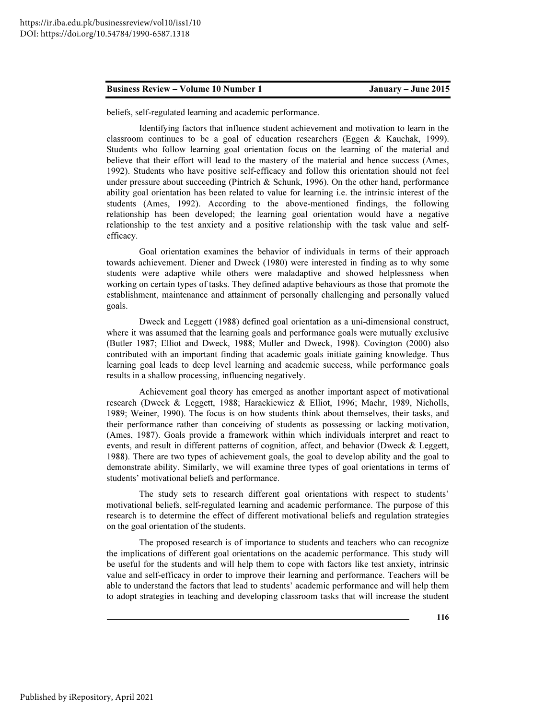beliefs, self-regulated learning and academic performance.

Identifying factors that influence student achievement and motivation to learn in the classroom continues to be a goal of education researchers (Eggen & Kauchak, 1999). Students who follow learning goal orientation focus on the learning of the material and believe that their effort will lead to the mastery of the material and hence success (Ames, 1992). Students who have positive self-efficacy and follow this orientation should not feel under pressure about succeeding (Pintrich  $&$  Schunk, 1996). On the other hand, performance ability goal orientation has been related to value for learning i.e. the intrinsic interest of the students (Ames, 1992). According to the above-mentioned findings, the following relationship has been developed; the learning goal orientation would have a negative relationship to the test anxiety and a positive relationship with the task value and selfefficacy.

Goal orientation examines the behavior of individuals in terms of their approach towards achievement. Diener and Dweck (1980) were interested in finding as to why some students were adaptive while others were maladaptive and showed helplessness when working on certain types of tasks. They defined adaptive behaviours as those that promote the establishment, maintenance and attainment of personally challenging and personally valued goals.

Dweck and Leggett (1988) defined goal orientation as a uni-dimensional construct, where it was assumed that the learning goals and performance goals were mutually exclusive (Butler 1987; Elliot and Dweck, 1988; Muller and Dweck, 1998). Covington (2000) also contributed with an important finding that academic goals initiate gaining knowledge. Thus learning goal leads to deep level learning and academic success, while performance goals results in a shallow processing, influencing negatively.

Achievement goal theory has emerged as another important aspect of motivational research (Dweck & Leggett, 1988; Harackiewicz & Elliot, 1996; Maehr, 1989, Nicholls, 1989; Weiner, 1990). The focus is on how students think about themselves, their tasks, and their performance rather than conceiving of students as possessing or lacking motivation, (Ames, 1987). Goals provide a framework within which individuals interpret and react to events, and result in different patterns of cognition, affect, and behavior (Dweck & Leggett, 1988). There are two types of achievement goals, the goal to develop ability and the goal to demonstrate ability. Similarly, we will examine three types of goal orientations in terms of students' motivational beliefs and performance.

The study sets to research different goal orientations with respect to students' motivational beliefs, self-regulated learning and academic performance. The purpose of this research is to determine the effect of different motivational beliefs and regulation strategies on the goal orientation of the students.

The proposed research is of importance to students and teachers who can recognize the implications of different goal orientations on the academic performance. This study will be useful for the students and will help them to cope with factors like test anxiety, intrinsic value and self-efficacy in order to improve their learning and performance. Teachers will be able to understand the factors that lead to students' academic performance and will help them to adopt strategies in teaching and developing classroom tasks that will increase the student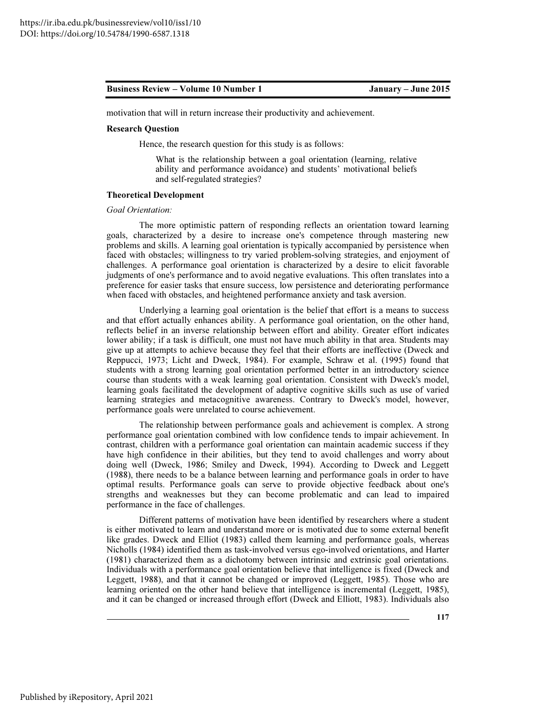motivation that will in return increase their productivity and achievement.

# Research Question

Hence, the research question for this study is as follows:

What is the relationship between a goal orientation (learning, relative ability and performance avoidance) and students' motivational beliefs and self-regulated strategies?

# Theoretical Development

# *Goal Orientation:*

The more optimistic pattern of responding reflects an orientation toward learning goals, characterized by a desire to increase one's competence through mastering new problems and skills. A learning goal orientation is typically accompanied by persistence when faced with obstacles; willingness to try varied problem-solving strategies, and enjoyment of challenges. A performance goal orientation is characterized by a desire to elicit favorable judgments of one's performance and to avoid negative evaluations. This often translates into a preference for easier tasks that ensure success, low persistence and deteriorating performance when faced with obstacles, and heightened performance anxiety and task aversion.

Underlying a learning goal orientation is the belief that effort is a means to success and that effort actually enhances ability. A performance goal orientation, on the other hand, reflects belief in an inverse relationship between effort and ability. Greater effort indicates lower ability; if a task is difficult, one must not have much ability in that area. Students may give up at attempts to achieve because they feel that their efforts are ineffective (Dweck and Reppucci, 1973; Licht and Dweck, 1984). For example, Schraw et al. (1995) found that students with a strong learning goal orientation performed better in an introductory science course than students with a weak learning goal orientation. Consistent with Dweck's model, learning goals facilitated the development of adaptive cognitive skills such as use of varied learning strategies and metacognitive awareness. Contrary to Dweck's model, however, performance goals were unrelated to course achievement.

The relationship between performance goals and achievement is complex. A strong performance goal orientation combined with low confidence tends to impair achievement. In contrast, children with a performance goal orientation can maintain academic success if they have high confidence in their abilities, but they tend to avoid challenges and worry about doing well (Dweck, 1986; Smiley and Dweck, 1994). According to Dweck and Leggett (1988), there needs to be a balance between learning and performance goals in order to have optimal results. Performance goals can serve to provide objective feedback about one's strengths and weaknesses but they can become problematic and can lead to impaired performance in the face of challenges.

Different patterns of motivation have been identified by researchers where a student is either motivated to learn and understand more or is motivated due to some external benefit like grades. Dweck and Elliot (1983) called them learning and performance goals, whereas Nicholls (1984) identified them as task-involved versus ego-involved orientations, and Harter (1981) characterized them as a dichotomy between intrinsic and extrinsic goal orientations. Individuals with a performance goal orientation believe that intelligence is fixed (Dweck and Leggett, 1988), and that it cannot be changed or improved (Leggett, 1985). Those who are learning oriented on the other hand believe that intelligence is incremental (Leggett, 1985), and it can be changed or increased through effort (Dweck and Elliott, 1983). Individuals also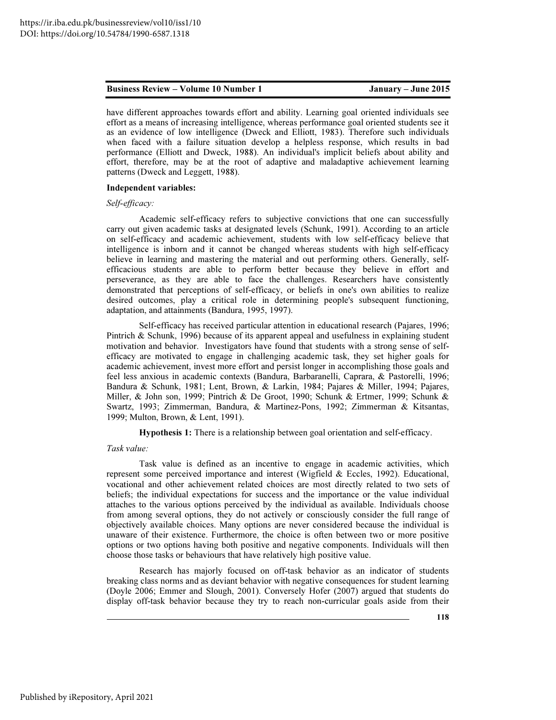have different approaches towards effort and ability. Learning goal oriented individuals see effort as a means of increasing intelligence, whereas performance goal oriented students see it as an evidence of low intelligence (Dweck and Elliott, 1983). Therefore such individuals when faced with a failure situation develop a helpless response, which results in bad performance (Elliott and Dweck, 1988). An individual's implicit beliefs about ability and effort, therefore, may be at the root of adaptive and maladaptive achievement learning patterns (Dweck and Leggett, 1988).

# Independent variables:

# *Self-efficacy:*

Academic self-efficacy refers to subjective convictions that one can successfully carry out given academic tasks at designated levels (Schunk, 1991). According to an article on self-efficacy and academic achievement, students with low self-efficacy believe that intelligence is inborn and it cannot be changed whereas students with high self-efficacy believe in learning and mastering the material and out performing others. Generally, selfefficacious students are able to perform better because they believe in effort and perseverance, as they are able to face the challenges. Researchers have consistently demonstrated that perceptions of self-efficacy, or beliefs in one's own abilities to realize desired outcomes, play a critical role in determining people's subsequent functioning, adaptation, and attainments (Bandura, 1995, 1997).

Self-efficacy has received particular attention in educational research (Pajares, 1996; Pintrich & Schunk, 1996) because of its apparent appeal and usefulness in explaining student motivation and behavior. Investigators have found that students with a strong sense of selfefficacy are motivated to engage in challenging academic task, they set higher goals for academic achievement, invest more effort and persist longer in accomplishing those goals and feel less anxious in academic contexts (Bandura, Barbaranelli, Caprara, & Pastorelli, 1996; Bandura & Schunk, 1981; Lent, Brown, & Larkin, 1984; Pajares & Miller, 1994; Pajares, Miller, & John son, 1999; Pintrich & De Groot, 1990; Schunk & Ertmer, 1999; Schunk & Swartz, 1993; Zimmerman, Bandura, & Martinez-Pons, 1992; Zimmerman & Kitsantas, 1999; Multon, Brown, & Lent, 1991).

Hypothesis 1: There is a relationship between goal orientation and self-efficacy.

# *Task value:*

Task value is defined as an incentive to engage in academic activities, which represent some perceived importance and interest (Wigfield & Eccles, 1992). Educational, vocational and other achievement related choices are most directly related to two sets of beliefs; the individual expectations for success and the importance or the value individual attaches to the various options perceived by the individual as available. Individuals choose from among several options, they do not actively or consciously consider the full range of objectively available choices. Many options are never considered because the individual is unaware of their existence. Furthermore, the choice is often between two or more positive options or two options having both positive and negative components. Individuals will then choose those tasks or behaviours that have relatively high positive value.

Research has majorly focused on off-task behavior as an indicator of students breaking class norms and as deviant behavior with negative consequences for student learning (Doyle 2006; Emmer and Slough, 2001). Conversely Hofer (2007) argued that students do display off-task behavior because they try to reach non-curricular goals aside from their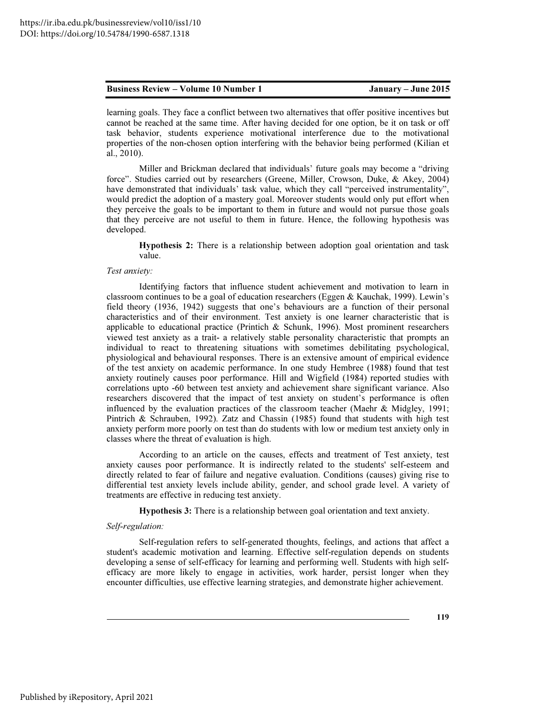learning goals. They face a conflict between two alternatives that offer positive incentives but cannot be reached at the same time. After having decided for one option, be it on task or off task behavior, students experience motivational interference due to the motivational properties of the non-chosen option interfering with the behavior being performed (Kilian et al., 2010).

Miller and Brickman declared that individuals' future goals may become a "driving force". Studies carried out by researchers (Greene, Miller, Crowson, Duke, & Akey, 2004) have demonstrated that individuals' task value, which they call "perceived instrumentality", would predict the adoption of a mastery goal. Moreover students would only put effort when they perceive the goals to be important to them in future and would not pursue those goals that they perceive are not useful to them in future. Hence, the following hypothesis was developed.

Hypothesis 2: There is a relationship between adoption goal orientation and task value.

# *Test anxiety:*

Identifying factors that influence student achievement and motivation to learn in classroom continues to be a goal of education researchers (Eggen & Kauchak, 1999). Lewin's field theory (1936, 1942) suggests that one's behaviours are a function of their personal characteristics and of their environment. Test anxiety is one learner characteristic that is applicable to educational practice (Printich  $\&$  Schunk, 1996). Most prominent researchers viewed test anxiety as a trait- a relatively stable personality characteristic that prompts an individual to react to threatening situations with sometimes debilitating psychological, physiological and behavioural responses. There is an extensive amount of empirical evidence of the test anxiety on academic performance. In one study Hembree (1988) found that test anxiety routinely causes poor performance. Hill and Wigfield (1984) reported studies with correlations upto -60 between test anxiety and achievement share significant variance. Also researchers discovered that the impact of test anxiety on student's performance is often influenced by the evaluation practices of the classroom teacher (Maehr & Midgley, 1991; Pintrich & Schrauben, 1992). Zatz and Chassin (1985) found that students with high test anxiety perform more poorly on test than do students with low or medium test anxiety only in classes where the threat of evaluation is high.

According to an article on the causes, effects and treatment of Test anxiety, test anxiety causes poor performance. It is indirectly related to the students' self-esteem and directly related to fear of failure and negative evaluation. Conditions (causes) giving rise to differential test anxiety levels include ability, gender, and school grade level. A variety of treatments are effective in reducing test anxiety.

Hypothesis 3: There is a relationship between goal orientation and text anxiety.

# *Self-regulation:*

Self-regulation refers to self-generated thoughts, feelings, and actions that affect a student's academic motivation and learning. Effective self-regulation depends on students developing a sense of self-efficacy for learning and performing well. Students with high selfefficacy are more likely to engage in activities, work harder, persist longer when they encounter difficulties, use effective learning strategies, and demonstrate higher achievement.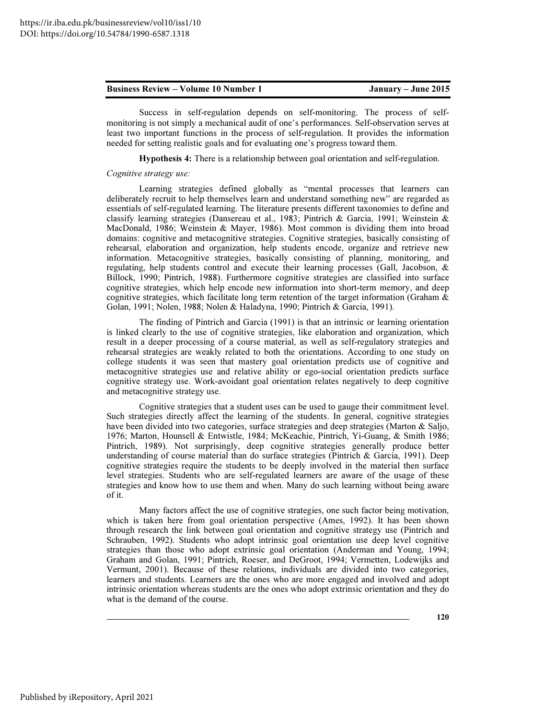Success in self-regulation depends on self-monitoring. The process of selfmonitoring is not simply a mechanical audit of one's performances. Self-observation serves at least two important functions in the process of self-regulation. It provides the information needed for setting realistic goals and for evaluating one's progress toward them.

Hypothesis 4: There is a relationship between goal orientation and self-regulation.

# *Cognitive strategy use:*

Learning strategies defined globally as "mental processes that learners can deliberately recruit to help themselves learn and understand something new" are regarded as essentials of self-regulated learning. The literature presents different taxonomies to define and classify learning strategies (Dansereau et al., 1983; Pintrich & Garcia, 1991; Weinstein & MacDonald, 1986; Weinstein & Mayer, 1986). Most common is dividing them into broad domains: cognitive and metacognitive strategies. Cognitive strategies, basically consisting of rehearsal, elaboration and organization, help students encode, organize and retrieve new information. Metacognitive strategies, basically consisting of planning, monitoring, and regulating, help students control and execute their learning processes (Gall, Jacobson, & Billock, 1990; Pintrich, 1988). Furthermore cognitive strategies are classified into surface cognitive strategies, which help encode new information into short-term memory, and deep cognitive strategies, which facilitate long term retention of the target information (Graham  $\&$ Golan, 1991; Nolen, 1988; Nolen & Haladyna, 1990; Pintrich & Garcia, 1991).

The finding of Pintrich and Garcia (1991) is that an intrinsic or learning orientation is linked clearly to the use of cognitive strategies, like elaboration and organization, which result in a deeper processing of a course material, as well as self-regulatory strategies and rehearsal strategies are weakly related to both the orientations. According to one study on college students it was seen that mastery goal orientation predicts use of cognitive and metacognitive strategies use and relative ability or ego-social orientation predicts surface cognitive strategy use. Work-avoidant goal orientation relates negatively to deep cognitive and metacognitive strategy use.

Cognitive strategies that a student uses can be used to gauge their commitment level. Such strategies directly affect the learning of the students. In general, cognitive strategies have been divided into two categories, surface strategies and deep strategies (Marton & Saljo, 1976; Marton, Hounsell & Entwistle, 1984; McKeachie, Pintrich, Yi-Guang, & Smith 1986; Pintrich, 1989). Not surprisingly, deep cognitive strategies generally produce better understanding of course material than do surface strategies (Pintrich & Garcia, 1991). Deep cognitive strategies require the students to be deeply involved in the material then surface level strategies. Students who are self-regulated learners are aware of the usage of these strategies and know how to use them and when. Many do such learning without being aware of it.

Many factors affect the use of cognitive strategies, one such factor being motivation, which is taken here from goal orientation perspective (Ames, 1992). It has been shown through research the link between goal orientation and cognitive strategy use (Pintrich and Schrauben, 1992). Students who adopt intrinsic goal orientation use deep level cognitive strategies than those who adopt extrinsic goal orientation (Anderman and Young, 1994; Graham and Golan, 1991; Pintrich, Roeser, and DeGroot, 1994; Vermetten, Lodewijks and Vermunt, 2001). Because of these relations, individuals are divided into two categories, learners and students. Learners are the ones who are more engaged and involved and adopt intrinsic orientation whereas students are the ones who adopt extrinsic orientation and they do what is the demand of the course.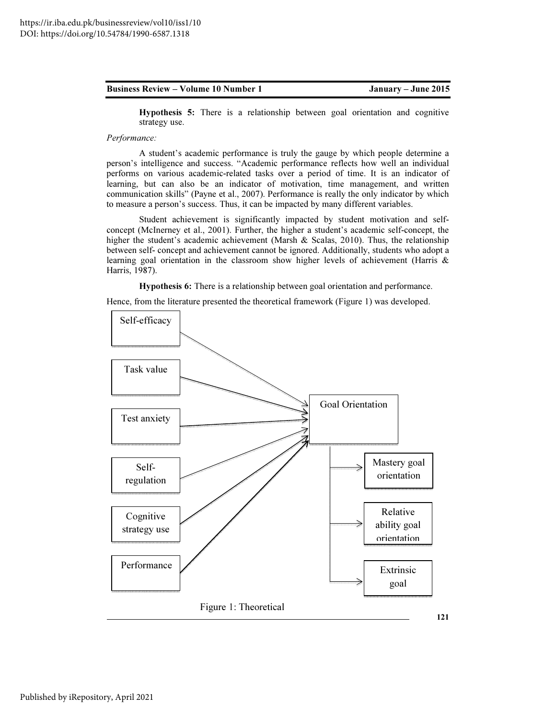Hypothesis 5: There is a relationship between goal orientation and cognitive strategy use.

# *Performance:*

A student's academic performance is truly the gauge by which people determine a person's intelligence and success. "Academic performance reflects how well an individual performs on various academic-related tasks over a period of time. It is an indicator of learning, but can also be an indicator of motivation, time management, and written communication skills" (Payne et al., 2007). Performance is really the only indicator by which to measure a person's success. Thus, it can be impacted by many different variables.

Student achievement is significantly impacted by student motivation and selfconcept (McInerney et al., 2001). Further, the higher a student's academic self-concept, the higher the student's academic achievement (Marsh & Scalas, 2010). Thus, the relationship between self- concept and achievement cannot be ignored. Additionally, students who adopt a learning goal orientation in the classroom show higher levels of achievement (Harris & Harris, 1987).

Hypothesis 6: There is a relationship between goal orientation and performance.

Hence, from the literature presented the theoretical framework (Figure 1) was developed.

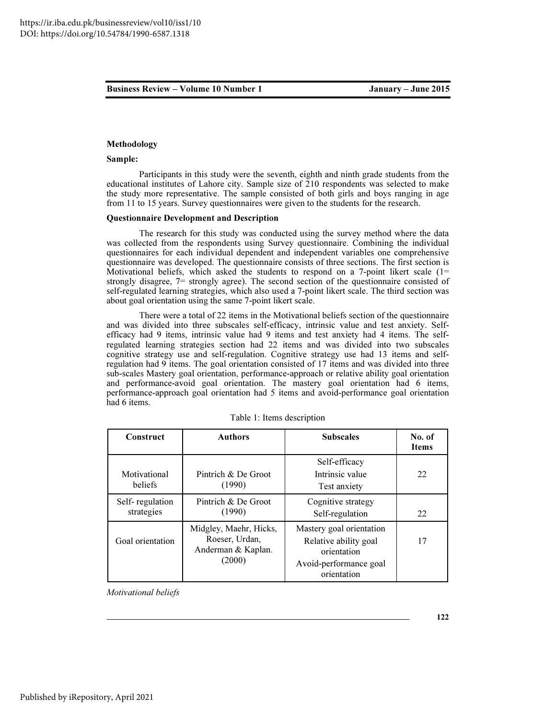# Methodology

# Sample:

Participants in this study were the seventh, eighth and ninth grade students from the educational institutes of Lahore city. Sample size of 210 respondents was selected to make the study more representative. The sample consisted of both girls and boys ranging in age from 11 to 15 years. Survey questionnaires were given to the students for the research.

# Questionnaire Development and Description

The research for this study was conducted using the survey method where the data was collected from the respondents using Survey questionnaire. Combining the individual questionnaires for each individual dependent and independent variables one comprehensive questionnaire was developed. The questionnaire consists of three sections. The first section is Motivational beliefs, which asked the students to respond on a 7-point likert scale  $(1=$ strongly disagree, 7= strongly agree). The second section of the questionnaire consisted of self-regulated learning strategies, which also used a 7-point likert scale. The third section was about goal orientation using the same 7-point likert scale.

There were a total of 22 items in the Motivational beliefs section of the questionnaire and was divided into three subscales self-efficacy, intrinsic value and test anxiety. Selfefficacy had 9 items, intrinsic value had 9 items and test anxiety had 4 items. The selfregulated learning strategies section had 22 items and was divided into two subscales cognitive strategy use and self-regulation. Cognitive strategy use had 13 items and selfregulation had 9 items. The goal orientation consisted of 17 items and was divided into three sub-scales Mastery goal orientation, performance-approach or relative ability goal orientation and performance-avoid goal orientation. The mastery goal orientation had 6 items, performance-approach goal orientation had 5 items and avoid-performance goal orientation had 6 items.

| Construct                     | <b>Authors</b>                                                           | <b>Subscales</b>                                                                                          | No. of<br><b>Items</b> |
|-------------------------------|--------------------------------------------------------------------------|-----------------------------------------------------------------------------------------------------------|------------------------|
| Motivational<br>beliefs       | Pintrich & De Groot<br>(1990)                                            | Self-efficacy<br>Intrinsic value<br>Test anxiety                                                          | 22                     |
| Self-regulation<br>strategies | Pintrich & De Groot<br>(1990)                                            | Cognitive strategy<br>Self-regulation                                                                     | 22                     |
| Goal orientation              | Midgley, Maehr, Hicks,<br>Roeser, Urdan,<br>Anderman & Kaplan.<br>(2000) | Mastery goal orientation<br>Relative ability goal<br>orientation<br>Avoid-performance goal<br>orientation | 17                     |

|  |  |  | Table 1: Items description |  |
|--|--|--|----------------------------|--|
|--|--|--|----------------------------|--|

*Motivational beliefs*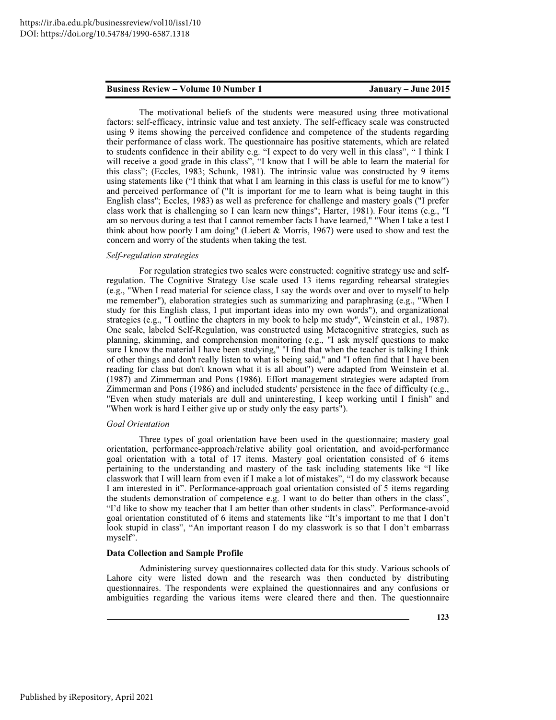The motivational beliefs of the students were measured using three motivational factors: self-efficacy, intrinsic value and test anxiety. The self-efficacy scale was constructed using 9 items showing the perceived confidence and competence of the students regarding their performance of class work. The questionnaire has positive statements, which are related to students confidence in their ability e.g. "I expect to do very well in this class", " I think I will receive a good grade in this class", "I know that I will be able to learn the material for this class"; (Eccles, 1983; Schunk, 1981). The intrinsic value was constructed by 9 items using statements like ("I think that what I am learning in this class is useful for me to know") and perceived performance of ("It is important for me to learn what is being taught in this English class"; Eccles, 1983) as well as preference for challenge and mastery goals ("I prefer class work that is challenging so I can learn new things"; Harter, 1981). Four items (e.g., "I am so nervous during a test that I cannot remember facts I have learned," "When I take a test I think about how poorly I am doing" (Liebert & Morris, 1967) were used to show and test the concern and worry of the students when taking the test.

# *Self-regulation strategies*

For regulation strategies two scales were constructed: cognitive strategy use and selfregulation. The Cognitive Strategy Use scale used 13 items regarding rehearsal strategies (e.g., "When I read material for science class, I say the words over and over to myself to help me remember"), elaboration strategies such as summarizing and paraphrasing (e.g., "When I study for this English class, I put important ideas into my own words"), and organizational strategies (e.g., "I outline the chapters in my book to help me study", Weinstein et al., 1987). One scale, labeled Self-Regulation, was constructed using Metacognitive strategies, such as planning, skimming, and comprehension monitoring (e.g., "I ask myself questions to make sure I know the material I have been studying," "I find that when the teacher is talking I think of other things and don't really listen to what is being said," and "I often find that I have been reading for class but don't known what it is all about") were adapted from Weinstein et al. (1987) and Zimmerman and Pons (1986). Effort management strategies were adapted from Zimmerman and Pons (1986) and included students' persistence in the face of difficulty (e.g., "Even when study materials are dull and uninteresting, I keep working until I finish" and "When work is hard I either give up or study only the easy parts").

# *Goal Orientation*

Three types of goal orientation have been used in the questionnaire; mastery goal orientation, performance-approach/relative ability goal orientation, and avoid-performance goal orientation with a total of 17 items. Mastery goal orientation consisted of 6 items pertaining to the understanding and mastery of the task including statements like "I like classwork that I will learn from even if I make a lot of mistakes", "I do my classwork because I am interested in it". Performance-approach goal orientation consisted of 5 items regarding the students demonstration of competence e.g. I want to do better than others in the class", "I'd like to show my teacher that I am better than other students in class". Performance-avoid goal orientation constituted of 6 items and statements like "It's important to me that I don't look stupid in class", "An important reason I do my classwork is so that I don't embarrass myself".

# Data Collection and Sample Profile

Administering survey questionnaires collected data for this study. Various schools of Lahore city were listed down and the research was then conducted by distributing questionnaires. The respondents were explained the questionnaires and any confusions or ambiguities regarding the various items were cleared there and then. The questionnaire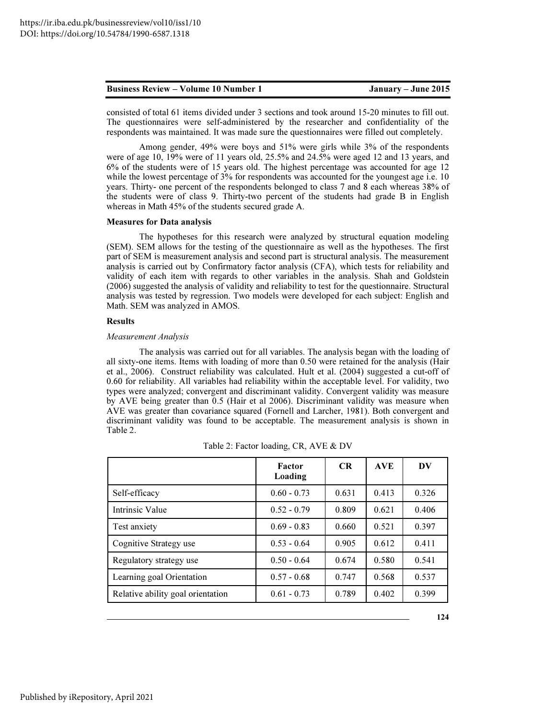consisted of total 61 items divided under 3 sections and took around 15-20 minutes to fill out. The questionnaires were self-administered by the researcher and confidentiality of the respondents was maintained. It was made sure the questionnaires were filled out completely.

Among gender, 49% were boys and 51% were girls while 3% of the respondents were of age 10, 19% were of 11 years old, 25.5% and 24.5% were aged 12 and 13 years, and 6% of the students were of 15 years old. The highest percentage was accounted for age 12 while the lowest percentage of 3% for respondents was accounted for the youngest age i.e. 10 years. Thirty- one percent of the respondents belonged to class 7 and 8 each whereas 38% of the students were of class 9. Thirty-two percent of the students had grade B in English whereas in Math 45% of the students secured grade A.

# Measures for Data analysis

The hypotheses for this research were analyzed by structural equation modeling (SEM). SEM allows for the testing of the questionnaire as well as the hypotheses. The first part of SEM is measurement analysis and second part is structural analysis. The measurement analysis is carried out by Confirmatory factor analysis (CFA), which tests for reliability and validity of each item with regards to other variables in the analysis. Shah and Goldstein (2006) suggested the analysis of validity and reliability to test for the questionnaire. Structural analysis was tested by regression. Two models were developed for each subject: English and Math. SEM was analyzed in AMOS.

# Results

### *Measurement Analysis*

The analysis was carried out for all variables. The analysis began with the loading of all sixty-one items. Items with loading of more than 0.50 were retained for the analysis (Hair et al., 2006). Construct reliability was calculated. Hult et al. (2004) suggested a cut-off of 0.60 for reliability. All variables had reliability within the acceptable level. For validity, two types were analyzed; convergent and discriminant validity. Convergent validity was measure by AVE being greater than 0.5 (Hair et al 2006). Discriminant validity was measure when AVE was greater than covariance squared (Fornell and Larcher, 1981). Both convergent and discriminant validity was found to be acceptable. The measurement analysis is shown in Table 2.

|                                   | Factor<br>Loading | CR    | <b>AVE</b> | DV    |
|-----------------------------------|-------------------|-------|------------|-------|
| Self-efficacy                     | $0.60 - 0.73$     | 0.631 | 0.413      | 0.326 |
| Intrinsic Value                   | $0.52 - 0.79$     | 0.809 | 0.621      | 0.406 |
| Test anxiety                      | $0.69 - 0.83$     | 0.660 | 0.521      | 0.397 |
| Cognitive Strategy use            | $0.53 - 0.64$     | 0.905 | 0.612      | 0.411 |
| Regulatory strategy use           | $0.50 - 0.64$     | 0.674 | 0.580      | 0.541 |
| Learning goal Orientation         | $0.57 - 0.68$     | 0.747 | 0.568      | 0.537 |
| Relative ability goal orientation | $0.61 - 0.73$     | 0.789 | 0.402      | 0.399 |

|  | Table 2: Factor loading, CR, AVE & DV |  |  |
|--|---------------------------------------|--|--|
|  |                                       |  |  |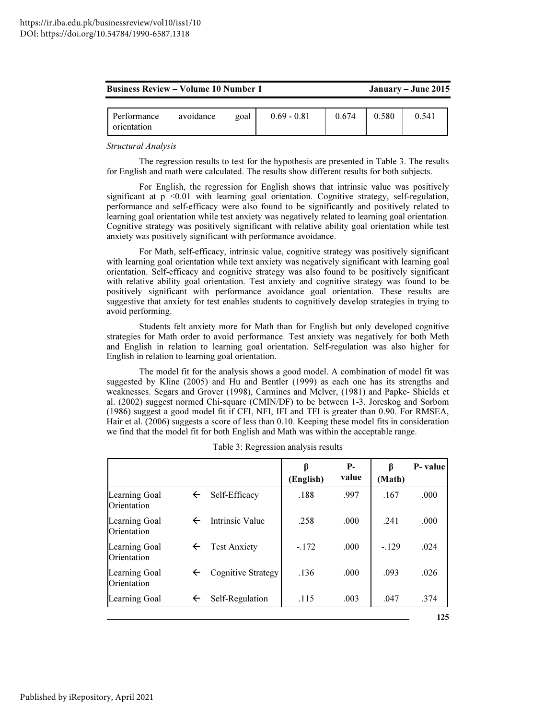|  | <b>Business Review – Volume 10 Number 1</b> |
|--|---------------------------------------------|
|--|---------------------------------------------|

January – June 2015

| Performance<br>avoidance<br>goal<br>orientation | $0.69 - 0.81$ | 0.674 | 0.580 | 0.541 |
|-------------------------------------------------|---------------|-------|-------|-------|
|-------------------------------------------------|---------------|-------|-------|-------|

*Structural Analysis* 

The regression results to test for the hypothesis are presented in Table 3. The results for English and math were calculated. The results show different results for both subjects.

For English, the regression for English shows that intrinsic value was positively significant at  $p \leq 0.01$  with learning goal orientation. Cognitive strategy, self-regulation, performance and self-efficacy were also found to be significantly and positively related to learning goal orientation while test anxiety was negatively related to learning goal orientation. Cognitive strategy was positively significant with relative ability goal orientation while test anxiety was positively significant with performance avoidance.

For Math, self-efficacy, intrinsic value, cognitive strategy was positively significant with learning goal orientation while text anxiety was negatively significant with learning goal orientation. Self-efficacy and cognitive strategy was also found to be positively significant with relative ability goal orientation. Test anxiety and cognitive strategy was found to be positively significant with performance avoidance goal orientation. These results are suggestive that anxiety for test enables students to cognitively develop strategies in trying to avoid performing.

Students felt anxiety more for Math than for English but only developed cognitive strategies for Math order to avoid performance. Test anxiety was negatively for both Meth and English in relation to learning goal orientation. Self-regulation was also higher for English in relation to learning goal orientation.

The model fit for the analysis shows a good model. A combination of model fit was suggested by Kline (2005) and Hu and Bentler (1999) as each one has its strengths and weaknesses. Segars and Grover (1998), Carmines and Mclver, (1981) and Papke- Shields et al. (2002) suggest normed Chi-square (CMIN/DF) to be between 1-3. Joreskog and Sorbom (1986) suggest a good model fit if CFI, NFI, IFI and TFI is greater than 0.90. For RMSEA, Hair et al. (2006) suggests a score of less than 0.10. Keeping these model fits in consideration we find that the model fit for both English and Math was within the acceptable range.

|                              |              |                        | β<br>(English) | $P-$<br>value | β<br>(Math) | P-value |
|------------------------------|--------------|------------------------|----------------|---------------|-------------|---------|
| Learning Goal<br>Orientation | $\leftarrow$ | Self-Efficacy          | .188           | .997          | .167        | .000    |
| Learning Goal<br>Orientation | $\leftarrow$ | <b>Intrinsic Value</b> | .258           | .000.         | .241        | .000    |
| Learning Goal<br>Orientation | $\leftarrow$ | <b>Test Anxiety</b>    | $-.172$        | .000          | $-.129$     | .024    |
| Learning Goal<br>Orientation | $\leftarrow$ | Cognitive Strategy     | .136           | .000          | .093        | .026    |
| Learning Goal                | $\leftarrow$ | Self-Regulation        | .115           | .003          | .047        | .374    |
|                              |              |                        |                |               |             | 125     |

Table 3: Regression analysis results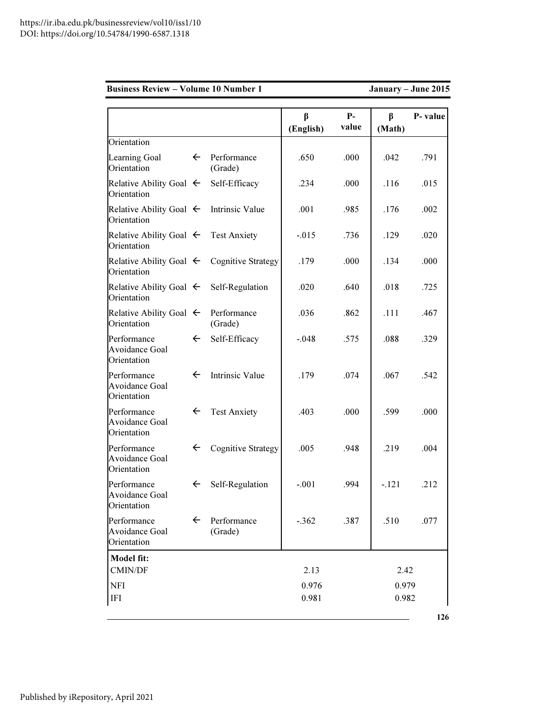| <b>Business Review - Volume 10 Number 1</b>         |              |                              |                |               |             | January - June 2015 |
|-----------------------------------------------------|--------------|------------------------------|----------------|---------------|-------------|---------------------|
|                                                     |              |                              | β<br>(English) | $P-$<br>value | β<br>(Math) | P- value            |
| Orientation                                         |              |                              |                |               |             |                     |
| Learning Goal<br>Orientation                        | $\leftarrow$ | Performance<br>(Grade)       | .650           | .000          | .042        | .791                |
| Relative Ability Goal $\leftarrow$<br>Orientation   |              | Self-Efficacy                | .234           | .000.         | .116        | .015                |
| Relative Ability Goal $\leftarrow$<br>Orientation   |              | <b>Intrinsic Value</b>       | .001           | .985          | .176        | .002                |
| Relative Ability Goal $\leftarrow$<br>Orientation   |              | <b>Test Anxiety</b>          | $-.015$        | .736          | .129        | .020                |
| Relative Ability Goal $\leftarrow$<br>Orientation   |              | <b>Cognitive Strategy</b>    | .179           | .000          | .134        | .000                |
| Relative Ability Goal $\leftarrow$<br>Orientation   |              | Self-Regulation              | .020           | .640          | .018        | .725                |
| Relative Ability Goal $\leftarrow$<br>Orientation   |              | Performance<br>(Grade)       | .036           | .862          | .111        | .467                |
| Performance<br>Avoidance Goal<br>Orientation        | $\leftarrow$ | Self-Efficacy                | $-.048$        | .575          | .088        | .329                |
| Performance<br>Avoidance Goal<br>Orientation        | $\leftarrow$ | <b>Intrinsic Value</b>       | .179           | .074          | .067        | .542                |
| Performance<br>Avoidance Goal<br>Orientation        | $\leftarrow$ | <b>Test Anxiety</b>          | .403           | .000          | .599        | .000                |
| Performance<br>Avoidance Goal<br>Orientation        | $\leftarrow$ | <b>Cognitive Strategy</b>    | .005           | .948          | .219        | .004                |
| Performance<br><b>Avoidance Goal</b><br>Orientation |              | $\leftarrow$ Self-Regulation | $-.001$        | .994          | $-121$      | .212                |
| Performance<br><b>Avoidance Goal</b><br>Orientation | $\leftarrow$ | Performance<br>(Grade)       | $-.362$        | .387          | .510        | .077                |
| Model fit:                                          |              |                              |                |               |             |                     |
| CMIN/DF                                             |              |                              | 2.13           |               | 2.42        |                     |
| <b>NFI</b>                                          |              |                              | 0.976          |               | 0.979       |                     |
| <b>IFI</b>                                          |              |                              | 0.981          |               | 0.982       |                     |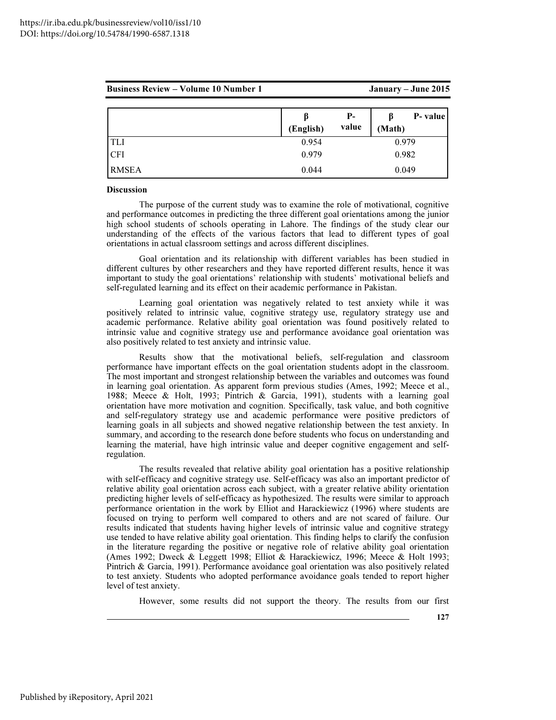| <b>Business Review – Volume 10 Number 1</b> |           |             | January – June 2015 |          |
|---------------------------------------------|-----------|-------------|---------------------|----------|
|                                             | (English) | Р-<br>value | (Math)              | P- value |
| <b>TLI</b>                                  | 0.954     |             | 0.979               |          |
|                                             | 0.979     |             | 0.982               |          |

RMSEA 0.044 0.049

# **Discussion**

The purpose of the current study was to examine the role of motivational, cognitive and performance outcomes in predicting the three different goal orientations among the junior high school students of schools operating in Lahore. The findings of the study clear our understanding of the effects of the various factors that lead to different types of goal orientations in actual classroom settings and across different disciplines.

Goal orientation and its relationship with different variables has been studied in different cultures by other researchers and they have reported different results, hence it was important to study the goal orientations' relationship with students' motivational beliefs and self-regulated learning and its effect on their academic performance in Pakistan.

Learning goal orientation was negatively related to test anxiety while it was positively related to intrinsic value, cognitive strategy use, regulatory strategy use and academic performance. Relative ability goal orientation was found positively related to intrinsic value and cognitive strategy use and performance avoidance goal orientation was also positively related to test anxiety and intrinsic value.

Results show that the motivational beliefs, self-regulation and classroom performance have important effects on the goal orientation students adopt in the classroom. The most important and strongest relationship between the variables and outcomes was found in learning goal orientation. As apparent form previous studies (Ames, 1992; Meece et al., 1988; Meece & Holt, 1993; Pintrich & Garcia, 1991), students with a learning goal orientation have more motivation and cognition. Specifically, task value, and both cognitive and self-regulatory strategy use and academic performance were positive predictors of learning goals in all subjects and showed negative relationship between the test anxiety. In summary, and according to the research done before students who focus on understanding and learning the material, have high intrinsic value and deeper cognitive engagement and selfregulation.

The results revealed that relative ability goal orientation has a positive relationship with self-efficacy and cognitive strategy use. Self-efficacy was also an important predictor of relative ability goal orientation across each subject, with a greater relative ability orientation predicting higher levels of self-efficacy as hypothesized. The results were similar to approach performance orientation in the work by Elliot and Harackiewicz (1996) where students are focused on trying to perform well compared to others and are not scared of failure. Our results indicated that students having higher levels of intrinsic value and cognitive strategy use tended to have relative ability goal orientation. This finding helps to clarify the confusion in the literature regarding the positive or negative role of relative ability goal orientation (Ames 1992; Dweck & Leggett 1998; Elliot & Harackiewicz, 1996; Meece & Holt 1993; Pintrich & Garcia, 1991). Performance avoidance goal orientation was also positively related to test anxiety. Students who adopted performance avoidance goals tended to report higher level of test anxiety.

However, some results did not support the theory. The results from our first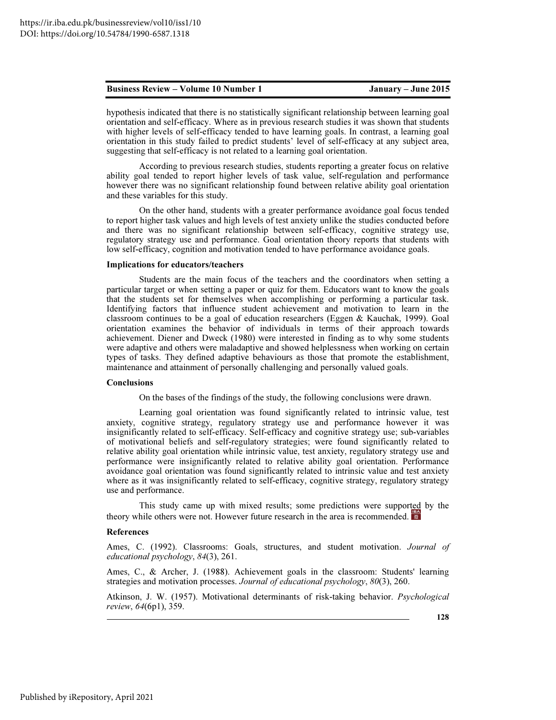hypothesis indicated that there is no statistically significant relationship between learning goal orientation and self-efficacy. Where as in previous research studies it was shown that students with higher levels of self-efficacy tended to have learning goals. In contrast, a learning goal orientation in this study failed to predict students' level of self-efficacy at any subject area, suggesting that self-efficacy is not related to a learning goal orientation.

According to previous research studies, students reporting a greater focus on relative ability goal tended to report higher levels of task value, self-regulation and performance however there was no significant relationship found between relative ability goal orientation and these variables for this study.

On the other hand, students with a greater performance avoidance goal focus tended to report higher task values and high levels of test anxiety unlike the studies conducted before and there was no significant relationship between self-efficacy, cognitive strategy use, regulatory strategy use and performance. Goal orientation theory reports that students with low self-efficacy, cognition and motivation tended to have performance avoidance goals.

# Implications for educators/teachers

Students are the main focus of the teachers and the coordinators when setting a particular target or when setting a paper or quiz for them. Educators want to know the goals that the students set for themselves when accomplishing or performing a particular task. Identifying factors that influence student achievement and motivation to learn in the classroom continues to be a goal of education researchers (Eggen & Kauchak, 1999). Goal orientation examines the behavior of individuals in terms of their approach towards achievement. Diener and Dweck (1980) were interested in finding as to why some students were adaptive and others were maladaptive and showed helplessness when working on certain types of tasks. They defined adaptive behaviours as those that promote the establishment, maintenance and attainment of personally challenging and personally valued goals.

### Conclusions

On the bases of the findings of the study, the following conclusions were drawn.

Learning goal orientation was found significantly related to intrinsic value, test anxiety, cognitive strategy, regulatory strategy use and performance however it was insignificantly related to self-efficacy. Self-efficacy and cognitive strategy use; sub-variables of motivational beliefs and self-regulatory strategies; were found significantly related to relative ability goal orientation while intrinsic value, test anxiety, regulatory strategy use and performance were insignificantly related to relative ability goal orientation. Performance avoidance goal orientation was found significantly related to intrinsic value and test anxiety where as it was insignificantly related to self-efficacy, cognitive strategy, regulatory strategy use and performance.

This study came up with mixed results; some predictions were supported by the theory while others were not. However future research in the area is recommended.

### References

Ames, C. (1992). Classrooms: Goals, structures, and student motivation. *Journal of educational psychology*, *84*(3), 261.

Ames, C., & Archer, J. (1988). Achievement goals in the classroom: Students' learning strategies and motivation processes. *Journal of educational psychology*, *80*(3), 260.

Atkinson, J. W. (1957). Motivational determinants of risk-taking behavior. *Psychological review*, *64*(6p1), 359.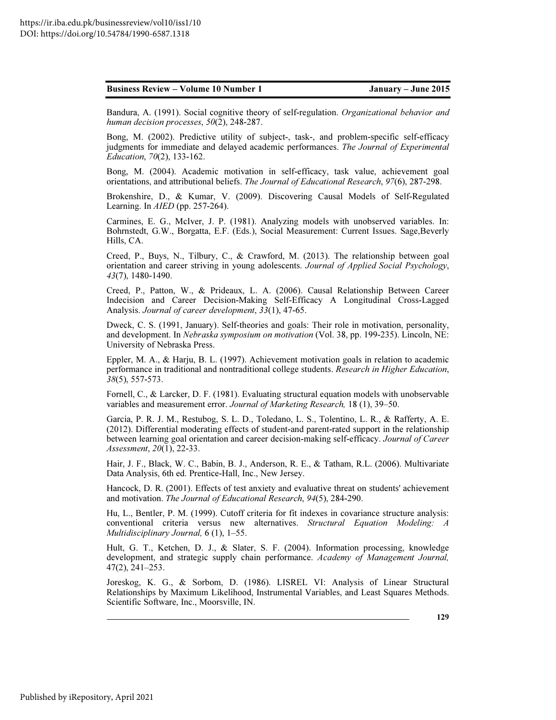Bandura, A. (1991). Social cognitive theory of self-regulation. *Organizational behavior and human decision processes*, *50*(2), 248-287.

Bong, M. (2002). Predictive utility of subject-, task-, and problem-specific self-efficacy judgments for immediate and delayed academic performances. *The Journal of Experimental Education*, *70*(2), 133-162.

Bong, M. (2004). Academic motivation in self-efficacy, task value, achievement goal orientations, and attributional beliefs. *The Journal of Educational Research*, *97*(6), 287-298.

Brokenshire, D., & Kumar, V. (2009). Discovering Causal Models of Self-Regulated Learning. In *AIED* (pp. 257-264).

Carmines, E. G., McIver, J. P. (1981). Analyzing models with unobserved variables. In: Bohrnstedt, G.W., Borgatta, E.F. (Eds.), Social Measurement: Current Issues. Sage,Beverly Hills, CA.

Creed, P., Buys, N., Tilbury, C., & Crawford, M. (2013). The relationship between goal orientation and career striving in young adolescents. *Journal of Applied Social Psychology*, *43*(7), 1480-1490.

Creed, P., Patton, W., & Prideaux, L. A. (2006). Causal Relationship Between Career Indecision and Career Decision-Making Self-Efficacy A Longitudinal Cross-Lagged Analysis. *Journal of career development*, *33*(1), 47-65.

Dweck, C. S. (1991, January). Self-theories and goals: Their role in motivation, personality, and development. In *Nebraska symposium on motivation* (Vol. 38, pp. 199-235). Lincoln, NE: University of Nebraska Press.

Eppler, M. A., & Harju, B. L. (1997). Achievement motivation goals in relation to academic performance in traditional and nontraditional college students. *Research in Higher Education*, *38*(5), 557-573.

Fornell, C., & Larcker, D. F. (1981). Evaluating structural equation models with unobservable variables and measurement error. *Journal of Marketing Research,* 18 (1), 39–50.

Garcia, P. R. J. M., Restubog, S. L. D., Toledano, L. S., Tolentino, L. R., & Rafferty, A. E. (2012). Differential moderating effects of student-and parent-rated support in the relationship between learning goal orientation and career decision-making self-efficacy. *Journal of Career Assessment*, *20*(1), 22-33.

Hair, J. F., Black, W. C., Babin, B. J., Anderson, R. E., & Tatham, R.L. (2006). Multivariate Data Analysis, 6th ed. Prentice-Hall, Inc., New Jersey.

Hancock, D. R. (2001). Effects of test anxiety and evaluative threat on students' achievement and motivation. *The Journal of Educational Research*, *94*(5), 284-290.

Hu, L., Bentler, P. M. (1999). Cutoff criteria for fit indexes in covariance structure analysis: conventional criteria versus new alternatives. *Structural Equation Modeling: A Multidisciplinary Journal,* 6 (1), 1–55.

Hult, G. T., Ketchen, D. J., & Slater, S. F. (2004). Information processing, knowledge development, and strategic supply chain performance. *Academy of Management Journal,*  47(2), 241–253.

Joreskog, K. G., & Sorbom, D. (1986). LISREL VI: Analysis of Linear Structural Relationships by Maximum Likelihood, Instrumental Variables, and Least Squares Methods. Scientific Software, Inc., Moorsville, IN.